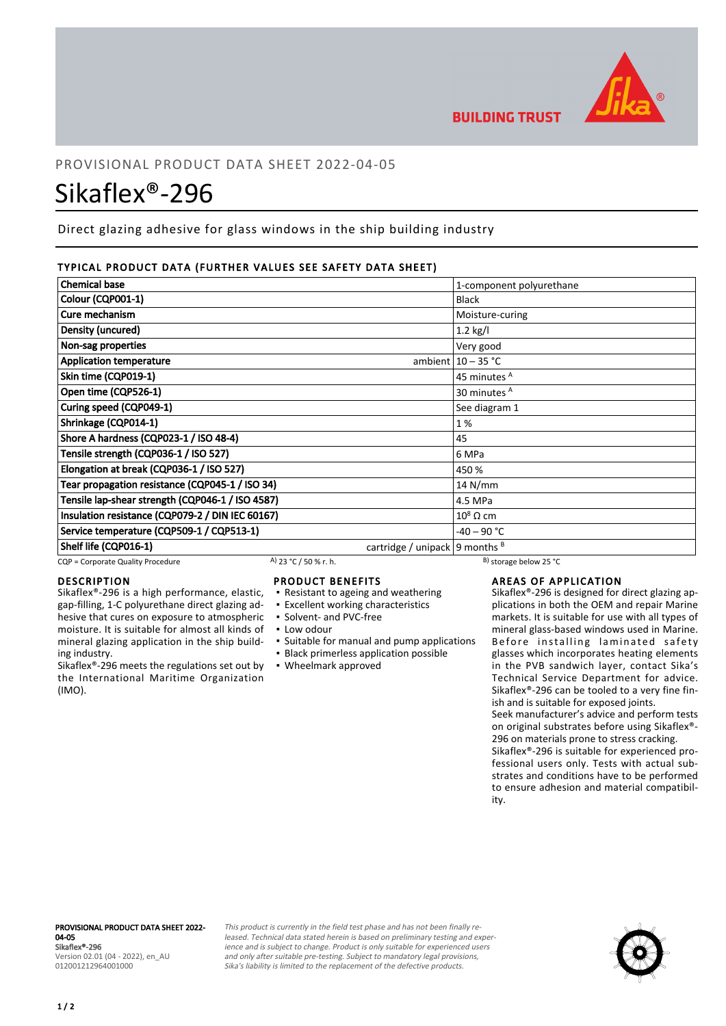

**BUILDING TRUST** 

# PROVISIONAL PRODUCT DATA SHEET 2022-04-05

# Sikaflex®-296

Direct glazing adhesive for glass windows in the ship building industry

# TYPICAL PRODUCT DATA (FURTHER VALUES SEE SAFETY DATA SHEET)

| <b>Chemical base</b>                             |                                    | 1-component polyurethane |
|--------------------------------------------------|------------------------------------|--------------------------|
| Colour (CQP001-1)                                |                                    | <b>Black</b>             |
| Cure mechanism                                   |                                    | Moisture-curing          |
| Density (uncured)                                |                                    | $1.2$ kg/l               |
| Non-sag properties                               |                                    | Very good                |
| <b>Application temperature</b>                   |                                    | ambient $10 - 35$ °C     |
| Skin time (CQP019-1)                             |                                    | 45 minutes A             |
| Open time (CQP526-1)                             |                                    | 30 minutes <sup>A</sup>  |
| Curing speed (CQP049-1)                          |                                    | See diagram 1            |
| Shrinkage (CQP014-1)                             |                                    | 1%                       |
| Shore A hardness (CQP023-1 / ISO 48-4)           |                                    | 45                       |
| Tensile strength (CQP036-1 / ISO 527)            |                                    | 6 MPa                    |
| Elongation at break (CQP036-1 / ISO 527)         |                                    | 450 %                    |
| Tear propagation resistance (CQP045-1 / ISO 34)  |                                    | $14$ N/mm                |
| Tensile lap-shear strength (CQP046-1 / ISO 4587) |                                    | 4.5 MPa                  |
| Insulation resistance (CQP079-2 / DIN IEC 60167) |                                    | $10^8 \Omega \text{ cm}$ |
| Service temperature (CQP509-1 / CQP513-1)        |                                    | $-40 - 90 °C$            |
| Shelf life (CQP016-1)                            | cartridge / unipack   9 months $B$ |                          |

CQP = Corporate Quality Procedure  $A$ ) 23 °C / 50 % r. h. B) storage below 25 °C

# **DESCRIPTION**

Sikaflex®-296 is a high performance, elastic, gap-filling, 1-C polyurethane direct glazing adhesive that cures on exposure to atmospheric moisture. It is suitable for almost all kinds of mineral glazing application in the ship building industry.

Sikaflex®-296 meets the regulations set out by the International Maritime Organization (IMO).

# PRODUCT BENEFITS

- Resistant to ageing and weathering
- **Excellent working characteristics**
- Solvent- and PVC-free
- Low odour
- Suitable for manual and pump applications
- **Black primerless application possible**
- Wheelmark approved

# AREAS OF APPLICATION

Sikaflex®-296 is designed for direct glazing applications in both the OEM and repair Marine markets. It is suitable for use with all types of mineral glass-based windows used in Marine. Before installing laminated safety glasses which incorporates heating elements in the PVB sandwich layer, contact Sika's Technical Service Department for advice. Sikaflex®-296 can be tooled to a very fine finish and is suitable for exposed joints.

Seek manufacturer's advice and perform tests on original substrates before using Sikaflex®- 296 on materials prone to stress cracking.

Sikaflex®-296 is suitable for experienced professional users only. Tests with actual substrates and conditions have to be performed to ensure adhesion and material compatibility.

#### PROVISIONAL PRODUCT DATA SHEET 2022- 04-05 Sikaflex®-296

Version 02.01 (04 - 2022), en\_AU 012001212964001000

This product is currently in the field test phase and has not been finally released. Technical data stated herein is based on preliminary testing and experience and is subject to change. Product is only suitable for experienced users and only after suitable pre-testing. Subject to mandatory legal provisions, Sika's liability is limited to the replacement of the defective products.